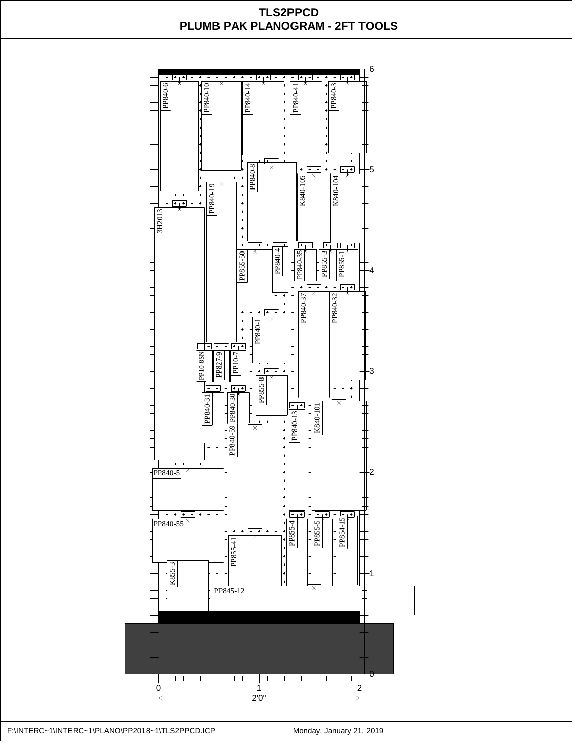